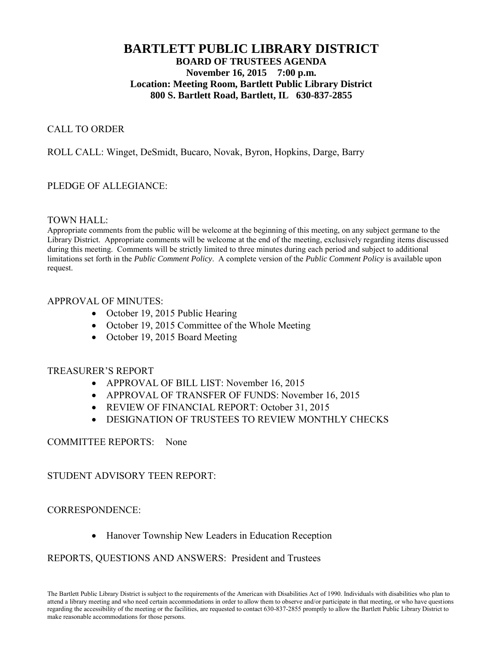# **BARTLETT PUBLIC LIBRARY DISTRICT BOARD OF TRUSTEES AGENDA November 16, 2015 7:00 p.m. Location: Meeting Room, Bartlett Public Library District 800 S. Bartlett Road, Bartlett, IL 630-837-2855**

## CALL TO ORDER

# ROLL CALL: Winget, DeSmidt, Bucaro, Novak, Byron, Hopkins, Darge, Barry

## PLEDGE OF ALLEGIANCE:

#### TOWN HALL:

Appropriate comments from the public will be welcome at the beginning of this meeting, on any subject germane to the Library District. Appropriate comments will be welcome at the end of the meeting, exclusively regarding items discussed during this meeting. Comments will be strictly limited to three minutes during each period and subject to additional limitations set forth in the *Public Comment Policy*. A complete version of the *Public Comment Policy* is available upon request.

## APPROVAL OF MINUTES:

- October 19, 2015 Public Hearing
- October 19, 2015 Committee of the Whole Meeting
- October 19, 2015 Board Meeting

## TREASURER'S REPORT

- APPROVAL OF BILL LIST: November 16, 2015
- APPROVAL OF TRANSFER OF FUNDS: November 16, 2015
- REVIEW OF FINANCIAL REPORT: October 31, 2015
- DESIGNATION OF TRUSTEES TO REVIEW MONTHLY CHECKS

## COMMITTEE REPORTS: None

## STUDENT ADVISORY TEEN REPORT:

## CORRESPONDENCE:

Hanover Township New Leaders in Education Reception

## REPORTS, QUESTIONS AND ANSWERS: President and Trustees